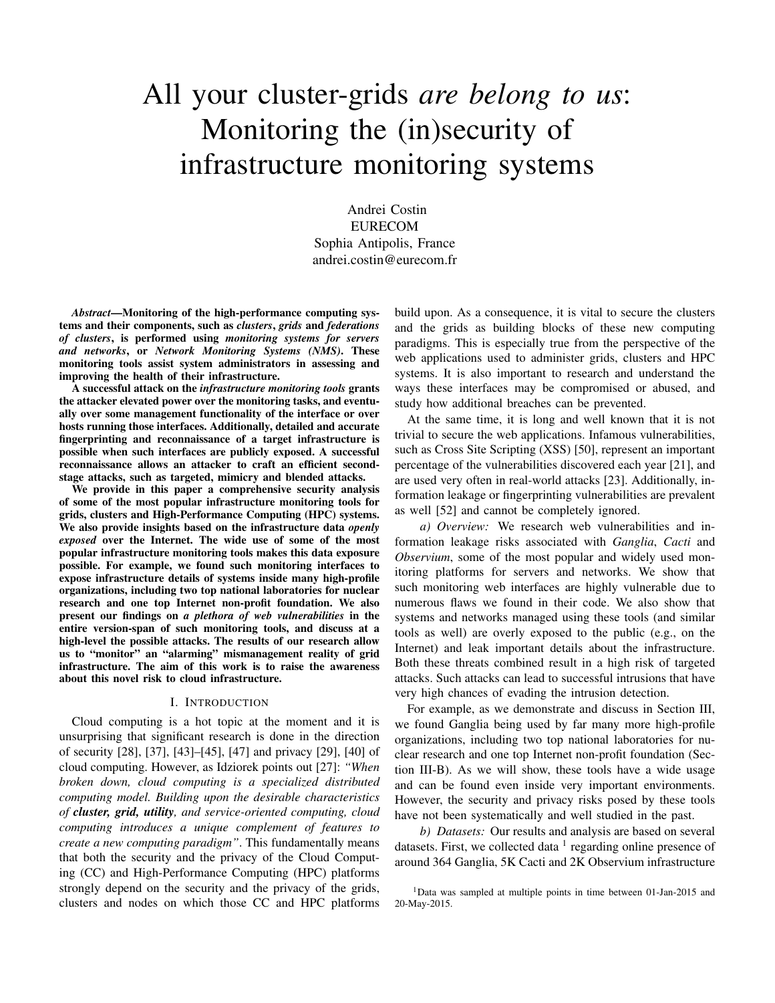# All your cluster-grids *are belong to us*: Monitoring the (in)security of infrastructure monitoring systems

Andrei Costin EURECOM Sophia Antipolis, France andrei.costin@eurecom.fr

*Abstract*—Monitoring of the high-performance computing systems and their components, such as *clusters*, *grids* and *federations of clusters*, is performed using *monitoring systems for servers and networks*, or *Network Monitoring Systems (NMS)*. These monitoring tools assist system administrators in assessing and improving the health of their infrastructure.

A successful attack on the *infrastructure monitoring tools* grants the attacker elevated power over the monitoring tasks, and eventually over some management functionality of the interface or over hosts running those interfaces. Additionally, detailed and accurate fingerprinting and reconnaissance of a target infrastructure is possible when such interfaces are publicly exposed. A successful reconnaissance allows an attacker to craft an efficient secondstage attacks, such as targeted, mimicry and blended attacks.

We provide in this paper a comprehensive security analysis of some of the most popular infrastructure monitoring tools for grids, clusters and High-Performance Computing (HPC) systems. We also provide insights based on the infrastructure data *openly exposed* over the Internet. The wide use of some of the most popular infrastructure monitoring tools makes this data exposure possible. For example, we found such monitoring interfaces to expose infrastructure details of systems inside many high-profile organizations, including two top national laboratories for nuclear research and one top Internet non-profit foundation. We also present our findings on *a plethora of web vulnerabilities* in the entire version-span of such monitoring tools, and discuss at a high-level the possible attacks. The results of our research allow us to "monitor" an "alarming" mismanagement reality of grid infrastructure. The aim of this work is to raise the awareness about this novel risk to cloud infrastructure.

#### I. INTRODUCTION

Cloud computing is a hot topic at the moment and it is unsurprising that significant research is done in the direction of security [28], [37], [43]–[45], [47] and privacy [29], [40] of cloud computing. However, as Idziorek points out [27]: *"When broken down, cloud computing is a specialized distributed computing model. Building upon the desirable characteristics of cluster, grid, utility, and service-oriented computing, cloud computing introduces a unique complement of features to create a new computing paradigm"*. This fundamentally means that both the security and the privacy of the Cloud Computing (CC) and High-Performance Computing (HPC) platforms strongly depend on the security and the privacy of the grids, clusters and nodes on which those CC and HPC platforms

build upon. As a consequence, it is vital to secure the clusters and the grids as building blocks of these new computing paradigms. This is especially true from the perspective of the web applications used to administer grids, clusters and HPC systems. It is also important to research and understand the ways these interfaces may be compromised or abused, and study how additional breaches can be prevented.

At the same time, it is long and well known that it is not trivial to secure the web applications. Infamous vulnerabilities, such as Cross Site Scripting (XSS) [50], represent an important percentage of the vulnerabilities discovered each year [21], and are used very often in real-world attacks [23]. Additionally, information leakage or fingerprinting vulnerabilities are prevalent as well [52] and cannot be completely ignored.

*a) Overview:* We research web vulnerabilities and information leakage risks associated with *Ganglia*, *Cacti* and *Observium*, some of the most popular and widely used monitoring platforms for servers and networks. We show that such monitoring web interfaces are highly vulnerable due to numerous flaws we found in their code. We also show that systems and networks managed using these tools (and similar tools as well) are overly exposed to the public (e.g., on the Internet) and leak important details about the infrastructure. Both these threats combined result in a high risk of targeted attacks. Such attacks can lead to successful intrusions that have very high chances of evading the intrusion detection.

For example, as we demonstrate and discuss in Section III, we found Ganglia being used by far many more high-profile organizations, including two top national laboratories for nuclear research and one top Internet non-profit foundation (Section III-B). As we will show, these tools have a wide usage and can be found even inside very important environments. However, the security and privacy risks posed by these tools have not been systematically and well studied in the past.

*b) Datasets:* Our results and analysis are based on several datasets. First, we collected data  $1$  regarding online presence of around 364 Ganglia, 5K Cacti and 2K Observium infrastructure

<sup>&</sup>lt;sup>1</sup>Data was sampled at multiple points in time between 01-Jan-2015 and 20-May-2015.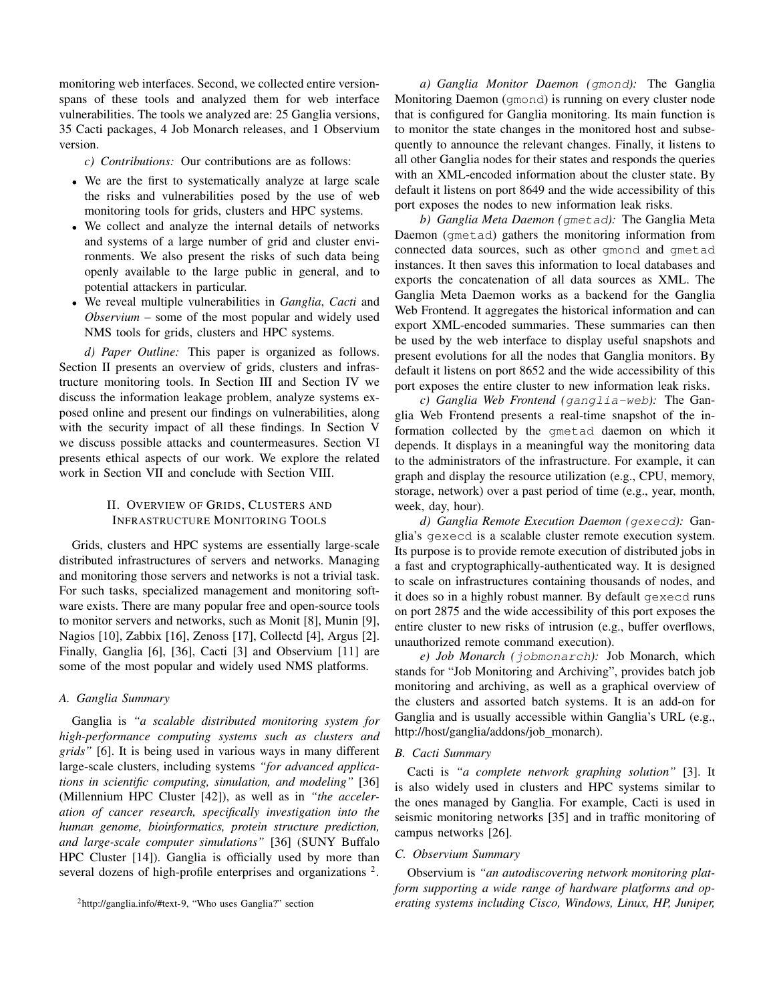monitoring web interfaces. Second, we collected entire versionspans of these tools and analyzed them for web interface vulnerabilities. The tools we analyzed are: 25 Ganglia versions, 35 Cacti packages, 4 Job Monarch releases, and 1 Observium version.

*c) Contributions:* Our contributions are as follows:

- We are the first to systematically analyze at large scale the risks and vulnerabilities posed by the use of web monitoring tools for grids, clusters and HPC systems.
- We collect and analyze the internal details of networks and systems of a large number of grid and cluster environments. We also present the risks of such data being openly available to the large public in general, and to potential attackers in particular.
- We reveal multiple vulnerabilities in *Ganglia*, *Cacti* and *Observium* – some of the most popular and widely used NMS tools for grids, clusters and HPC systems.

*d) Paper Outline:* This paper is organized as follows. Section II presents an overview of grids, clusters and infrastructure monitoring tools. In Section III and Section IV we discuss the information leakage problem, analyze systems exposed online and present our findings on vulnerabilities, along with the security impact of all these findings. In Section V we discuss possible attacks and countermeasures. Section VI presents ethical aspects of our work. We explore the related work in Section VII and conclude with Section VIII.

# II. OVERVIEW OF GRIDS, CLUSTERS AND INFRASTRUCTURE MONITORING TOOLS

Grids, clusters and HPC systems are essentially large-scale distributed infrastructures of servers and networks. Managing and monitoring those servers and networks is not a trivial task. For such tasks, specialized management and monitoring software exists. There are many popular free and open-source tools to monitor servers and networks, such as Monit [8], Munin [9], Nagios [10], Zabbix [16], Zenoss [17], Collectd [4], Argus [2]. Finally, Ganglia [6], [36], Cacti [3] and Observium [11] are some of the most popular and widely used NMS platforms.

## *A. Ganglia Summary*

Ganglia is *"a scalable distributed monitoring system for high-performance computing systems such as clusters and grids"* [6]. It is being used in various ways in many different large-scale clusters, including systems *"for advanced applications in scientific computing, simulation, and modeling"* [36] (Millennium HPC Cluster [42]), as well as in *"the acceleration of cancer research, specifically investigation into the human genome, bioinformatics, protein structure prediction, and large-scale computer simulations"* [36] (SUNY Buffalo HPC Cluster [14]). Ganglia is officially used by more than several dozens of high-profile enterprises and organizations<sup>2</sup>.

<sup>2</sup>http://ganglia.info/#text-9, "Who uses Ganglia?" section

*a) Ganglia Monitor Daemon (*gmond*):* The Ganglia Monitoring Daemon (gmond) is running on every cluster node that is configured for Ganglia monitoring. Its main function is to monitor the state changes in the monitored host and subsequently to announce the relevant changes. Finally, it listens to all other Ganglia nodes for their states and responds the queries with an XML-encoded information about the cluster state. By default it listens on port 8649 and the wide accessibility of this port exposes the nodes to new information leak risks.

*b) Ganglia Meta Daemon (*gmetad*):* The Ganglia Meta Daemon (gmetad) gathers the monitoring information from connected data sources, such as other gmond and gmetad instances. It then saves this information to local databases and exports the concatenation of all data sources as XML. The Ganglia Meta Daemon works as a backend for the Ganglia Web Frontend. It aggregates the historical information and can export XML-encoded summaries. These summaries can then be used by the web interface to display useful snapshots and present evolutions for all the nodes that Ganglia monitors. By default it listens on port 8652 and the wide accessibility of this port exposes the entire cluster to new information leak risks.

*c) Ganglia Web Frontend (*ganglia-web*):* The Ganglia Web Frontend presents a real-time snapshot of the information collected by the gmetad daemon on which it depends. It displays in a meaningful way the monitoring data to the administrators of the infrastructure. For example, it can graph and display the resource utilization (e.g., CPU, memory, storage, network) over a past period of time (e.g., year, month, week, day, hour).

*d) Ganglia Remote Execution Daemon (*gexecd*):* Ganglia's gexecd is a scalable cluster remote execution system. Its purpose is to provide remote execution of distributed jobs in a fast and cryptographically-authenticated way. It is designed to scale on infrastructures containing thousands of nodes, and it does so in a highly robust manner. By default gexecd runs on port 2875 and the wide accessibility of this port exposes the entire cluster to new risks of intrusion (e.g., buffer overflows, unauthorized remote command execution).

*e) Job Monarch (*jobmonarch*):* Job Monarch, which stands for "Job Monitoring and Archiving", provides batch job monitoring and archiving, as well as a graphical overview of the clusters and assorted batch systems. It is an add-on for Ganglia and is usually accessible within Ganglia's URL (e.g., http://host/ganglia/addons/job\_monarch).

## *B. Cacti Summary*

Cacti is *"a complete network graphing solution"* [3]. It is also widely used in clusters and HPC systems similar to the ones managed by Ganglia. For example, Cacti is used in seismic monitoring networks [35] and in traffic monitoring of campus networks [26].

#### *C. Observium Summary*

Observium is *"an autodiscovering network monitoring platform supporting a wide range of hardware platforms and operating systems including Cisco, Windows, Linux, HP, Juniper,*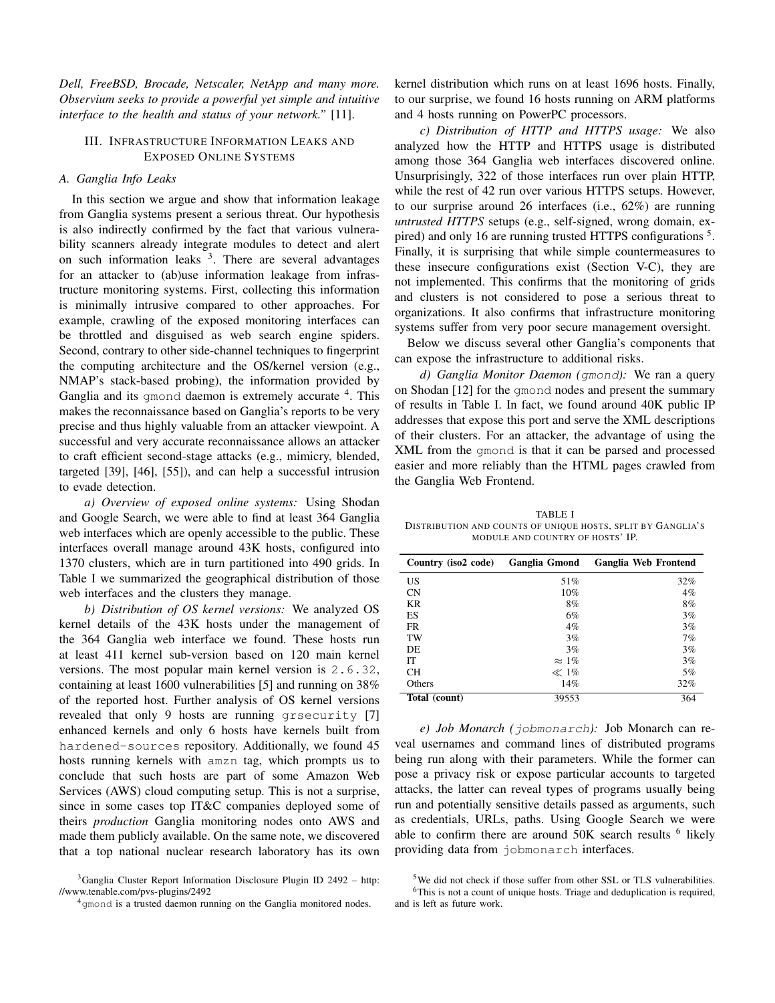*Dell, FreeBSD, Brocade, Netscaler, NetApp and many more. Observium seeks to provide a powerful yet simple and intuitive interface to the health and status of your network."* [11].

## III. INFRASTRUCTURE INFORMATION LEAKS AND EXPOSED ONLINE SYSTEMS

## *A. Ganglia Info Leaks*

In this section we argue and show that information leakage from Ganglia systems present a serious threat. Our hypothesis is also indirectly confirmed by the fact that various vulnerability scanners already integrate modules to detect and alert on such information leaks  $3$ . There are several advantages for an attacker to (ab)use information leakage from infrastructure monitoring systems. First, collecting this information is minimally intrusive compared to other approaches. For example, crawling of the exposed monitoring interfaces can be throttled and disguised as web search engine spiders. Second, contrary to other side-channel techniques to fingerprint the computing architecture and the OS/kernel version (e.g., NMAP's stack-based probing), the information provided by Ganglia and its gmond daemon is extremely accurate <sup>4</sup>. This makes the reconnaissance based on Ganglia's reports to be very precise and thus highly valuable from an attacker viewpoint. A successful and very accurate reconnaissance allows an attacker to craft efficient second-stage attacks (e.g., mimicry, blended, targeted [39], [46], [55]), and can help a successful intrusion to evade detection.

*a) Overview of exposed online systems:* Using Shodan and Google Search, we were able to find at least 364 Ganglia web interfaces which are openly accessible to the public. These interfaces overall manage around 43K hosts, configured into 1370 clusters, which are in turn partitioned into 490 grids. In Table I we summarized the geographical distribution of those web interfaces and the clusters they manage.

*b) Distribution of OS kernel versions:* We analyzed OS kernel details of the 43K hosts under the management of the 364 Ganglia web interface we found. These hosts run at least 411 kernel sub-version based on 120 main kernel versions. The most popular main kernel version is 2.6.32, containing at least 1600 vulnerabilities [5] and running on 38% of the reported host. Further analysis of OS kernel versions revealed that only 9 hosts are running grsecurity [7] enhanced kernels and only 6 hosts have kernels built from hardened-sources repository. Additionally, we found 45 hosts running kernels with amzn tag, which prompts us to conclude that such hosts are part of some Amazon Web Services (AWS) cloud computing setup. This is not a surprise, since in some cases top IT&C companies deployed some of theirs *production* Ganglia monitoring nodes onto AWS and made them publicly available. On the same note, we discovered that a top national nuclear research laboratory has its own kernel distribution which runs on at least 1696 hosts. Finally, to our surprise, we found 16 hosts running on ARM platforms and 4 hosts running on PowerPC processors.

*c) Distribution of HTTP and HTTPS usage:* We also analyzed how the HTTP and HTTPS usage is distributed among those 364 Ganglia web interfaces discovered online. Unsurprisingly, 322 of those interfaces run over plain HTTP, while the rest of 42 run over various HTTPS setups. However, to our surprise around 26 interfaces (i.e., 62%) are running *untrusted HTTPS* setups (e.g., self-signed, wrong domain, expired) and only 16 are running trusted HTTPS configurations<sup>5</sup>. Finally, it is surprising that while simple countermeasures to these insecure configurations exist (Section V-C), they are not implemented. This confirms that the monitoring of grids and clusters is not considered to pose a serious threat to organizations. It also confirms that infrastructure monitoring systems suffer from very poor secure management oversight.

Below we discuss several other Ganglia's components that can expose the infrastructure to additional risks.

*d) Ganglia Monitor Daemon (*gmond*):* We ran a query on Shodan [12] for the gmond nodes and present the summary of results in Table I. In fact, we found around 40K public IP addresses that expose this port and serve the XML descriptions of their clusters. For an attacker, the advantage of using the XML from the gmond is that it can be parsed and processed easier and more reliably than the HTML pages crawled from the Ganglia Web Frontend.

TABLE I DISTRIBUTION AND COUNTS OF UNIQUE HOSTS, SPLIT BY GANGLIA'S MODULE AND COUNTRY OF HOSTS' IP.

| Country (iso2 code) | Ganglia Gmond | Ganglia Web Frontend |
|---------------------|---------------|----------------------|
| US                  | 51%           | 32%                  |
| <b>CN</b>           | 10%           | $4\%$                |
| <b>KR</b>           | 8%            | 8%                   |
| <b>ES</b>           | 6%            | 3%                   |
| <b>FR</b>           | $4\%$         | 3%                   |
| TW                  | 3%            | 7%                   |
| DE                  | 3%            | 3%                   |
| IТ                  | $\approx 1\%$ | 3%                   |
| <b>CH</b>           | $\ll 1\%$     | 5%                   |
| Others              | 14%           | 32%                  |
| Total (count)       | 39553         | 364                  |

*e) Job Monarch (*jobmonarch*):* Job Monarch can reveal usernames and command lines of distributed programs being run along with their parameters. While the former can pose a privacy risk or expose particular accounts to targeted attacks, the latter can reveal types of programs usually being run and potentially sensitive details passed as arguments, such as credentials, URLs, paths. Using Google Search we were able to confirm there are around  $50K$  search results  $<sup>6</sup>$  likely</sup> providing data from jobmonarch interfaces.

<sup>3</sup>Ganglia Cluster Report Information Disclosure Plugin ID 2492 – http: //www.tenable.com/pvs-plugins/2492

<sup>&</sup>lt;sup>4</sup>gmond is a trusted daemon running on the Ganglia monitored nodes.

<sup>5</sup>We did not check if those suffer from other SSL or TLS vulnerabilities.

<sup>6</sup>This is not a count of unique hosts. Triage and deduplication is required, and is left as future work.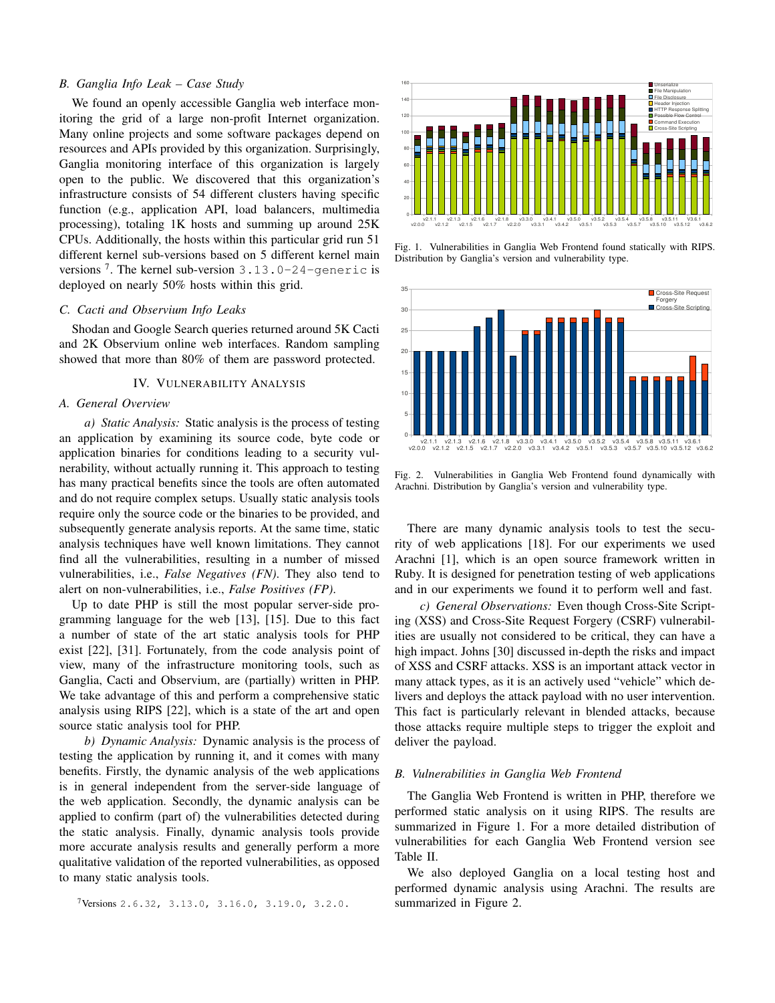## *B. Ganglia Info Leak – Case Study*

We found an openly accessible Ganglia web interface monitoring the grid of a large non-profit Internet organization. Many online projects and some software packages depend on resources and APIs provided by this organization. Surprisingly, Ganglia monitoring interface of this organization is largely open to the public. We discovered that this organization's infrastructure consists of 54 different clusters having specific function (e.g., application API, load balancers, multimedia processing), totaling 1K hosts and summing up around 25K CPUs. Additionally, the hosts within this particular grid run 51 different kernel sub-versions based on 5 different kernel main versions<sup>7</sup>. The kernel sub-version  $3.13.0 - 24$ -generic is deployed on nearly 50% hosts within this grid.

#### *C. Cacti and Observium Info Leaks*

Shodan and Google Search queries returned around 5K Cacti and 2K Observium online web interfaces. Random sampling showed that more than 80% of them are password protected.

#### IV. VULNERABILITY ANALYSIS

## *A. General Overview*

*a) Static Analysis:* Static analysis is the process of testing an application by examining its source code, byte code or application binaries for conditions leading to a security vulnerability, without actually running it. This approach to testing has many practical benefits since the tools are often automated and do not require complex setups. Usually static analysis tools require only the source code or the binaries to be provided, and subsequently generate analysis reports. At the same time, static analysis techniques have well known limitations. They cannot find all the vulnerabilities, resulting in a number of missed vulnerabilities, i.e., *False Negatives (FN)*. They also tend to alert on non-vulnerabilities, i.e., *False Positives (FP)*.

Up to date PHP is still the most popular server-side programming language for the web [13], [15]. Due to this fact a number of state of the art static analysis tools for PHP exist [22], [31]. Fortunately, from the code analysis point of view, many of the infrastructure monitoring tools, such as Ganglia, Cacti and Observium, are (partially) written in PHP. We take advantage of this and perform a comprehensive static analysis using RIPS [22], which is a state of the art and open source static analysis tool for PHP.

*b) Dynamic Analysis:* Dynamic analysis is the process of testing the application by running it, and it comes with many benefits. Firstly, the dynamic analysis of the web applications is in general independent from the server-side language of the web application. Secondly, the dynamic analysis can be applied to confirm (part of) the vulnerabilities detected during the static analysis. Finally, dynamic analysis tools provide more accurate analysis results and generally perform a more qualitative validation of the reported vulnerabilities, as opposed to many static analysis tools.





Fig. 1. Vulnerabilities in Ganglia Web Frontend found statically with RIPS. Distribution by Ganglia's version and vulnerability type.



Fig. 2. Vulnerabilities in Ganglia Web Frontend found dynamically with Arachni. Distribution by Ganglia's version and vulnerability type.

There are many dynamic analysis tools to test the security of web applications [18]. For our experiments we used Arachni [1], which is an open source framework written in Ruby. It is designed for penetration testing of web applications and in our experiments we found it to perform well and fast.

*c) General Observations:* Even though Cross-Site Scripting (XSS) and Cross-Site Request Forgery (CSRF) vulnerabilities are usually not considered to be critical, they can have a high impact. Johns [30] discussed in-depth the risks and impact of XSS and CSRF attacks. XSS is an important attack vector in many attack types, as it is an actively used "vehicle" which delivers and deploys the attack payload with no user intervention. This fact is particularly relevant in blended attacks, because those attacks require multiple steps to trigger the exploit and deliver the payload.

## *B. Vulnerabilities in Ganglia Web Frontend*

The Ganglia Web Frontend is written in PHP, therefore we performed static analysis on it using RIPS. The results are summarized in Figure 1. For a more detailed distribution of vulnerabilities for each Ganglia Web Frontend version see Table II.

We also deployed Ganglia on a local testing host and performed dynamic analysis using Arachni. The results are summarized in Figure 2.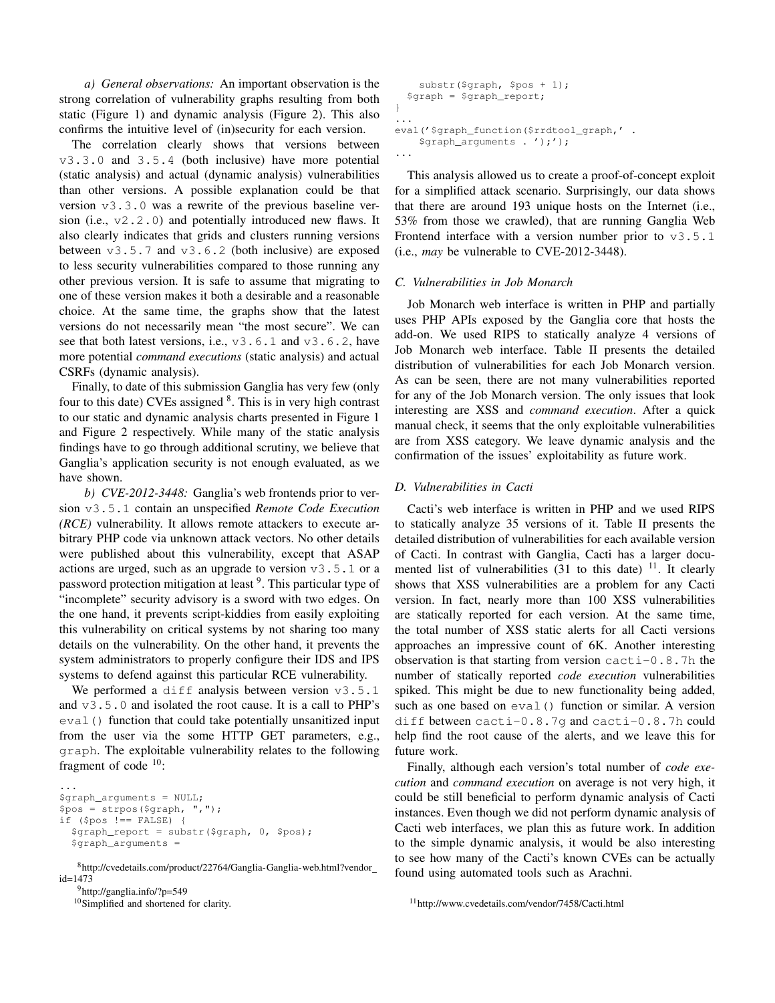*a) General observations:* An important observation is the strong correlation of vulnerability graphs resulting from both static (Figure 1) and dynamic analysis (Figure 2). This also confirms the intuitive level of (in)security for each version.

The correlation clearly shows that versions between v3.3.0 and 3.5.4 (both inclusive) have more potential (static analysis) and actual (dynamic analysis) vulnerabilities than other versions. A possible explanation could be that version v3.3.0 was a rewrite of the previous baseline version (i.e.,  $v2.2.0$ ) and potentially introduced new flaws. It also clearly indicates that grids and clusters running versions between  $v3.5.7$  and  $v3.6.2$  (both inclusive) are exposed to less security vulnerabilities compared to those running any other previous version. It is safe to assume that migrating to one of these version makes it both a desirable and a reasonable choice. At the same time, the graphs show that the latest versions do not necessarily mean "the most secure". We can see that both latest versions, i.e.,  $\forall$ 3.6.1 and  $\forall$ 3.6.2, have more potential *command executions* (static analysis) and actual CSRFs (dynamic analysis).

Finally, to date of this submission Ganglia has very few (only four to this date) CVEs assigned  $8$ . This is in very high contrast to our static and dynamic analysis charts presented in Figure 1 and Figure 2 respectively. While many of the static analysis findings have to go through additional scrutiny, we believe that Ganglia's application security is not enough evaluated, as we have shown.

*b) CVE-2012-3448:* Ganglia's web frontends prior to version v3.5.1 contain an unspecified *Remote Code Execution (RCE)* vulnerability. It allows remote attackers to execute arbitrary PHP code via unknown attack vectors. No other details were published about this vulnerability, except that ASAP actions are urged, such as an upgrade to version  $\nu$ 3.5.1 or a password protection mitigation at least <sup>9</sup>. This particular type of "incomplete" security advisory is a sword with two edges. On the one hand, it prevents script-kiddies from easily exploiting this vulnerability on critical systems by not sharing too many details on the vulnerability. On the other hand, it prevents the system administrators to properly configure their IDS and IPS systems to defend against this particular RCE vulnerability.

We performed a diff analysis between version  $v3.5.1$ and v3.5.0 and isolated the root cause. It is a call to PHP's eval () function that could take potentially unsanitized input from the user via the some HTTP GET parameters, e.g., graph. The exploitable vulnerability relates to the following fragment of code <sup>10</sup>:

```
...
$graph_arguments = NULL;
$pos = strpos($graph, ",");
if ($pos !== FALSE) {
  $graph_report = substr($graph, 0, $pos);
  $graph_arguments =
```

```
8http://cvedetails.com/product/22764/Ganglia-Ganglia-web.html?vendor
id=1473
```

```
9http://ganglia.info/?p=549
```
<sup>10</sup>Simplified and shortened for clarity.

```
substr($graph, $pos + 1);
  $graph = $graph_report;
}
...
eval('$graph_function($rrdtool_graph,' .
    $graph_arguments . ');');
...
```
This analysis allowed us to create a proof-of-concept exploit for a simplified attack scenario. Surprisingly, our data shows that there are around 193 unique hosts on the Internet (i.e., 53% from those we crawled), that are running Ganglia Web Frontend interface with a version number prior to  $v3.5.1$ (i.e., *may* be vulnerable to CVE-2012-3448).

## *C. Vulnerabilities in Job Monarch*

Job Monarch web interface is written in PHP and partially uses PHP APIs exposed by the Ganglia core that hosts the add-on. We used RIPS to statically analyze 4 versions of Job Monarch web interface. Table II presents the detailed distribution of vulnerabilities for each Job Monarch version. As can be seen, there are not many vulnerabilities reported for any of the Job Monarch version. The only issues that look interesting are XSS and *command execution*. After a quick manual check, it seems that the only exploitable vulnerabilities are from XSS category. We leave dynamic analysis and the confirmation of the issues' exploitability as future work.

## *D. Vulnerabilities in Cacti*

Cacti's web interface is written in PHP and we used RIPS to statically analyze 35 versions of it. Table II presents the detailed distribution of vulnerabilities for each available version of Cacti. In contrast with Ganglia, Cacti has a larger documented list of vulnerabilities  $(31 \text{ to this date})$ <sup>11</sup>. It clearly shows that XSS vulnerabilities are a problem for any Cacti version. In fact, nearly more than 100 XSS vulnerabilities are statically reported for each version. At the same time, the total number of XSS static alerts for all Cacti versions approaches an impressive count of 6K. Another interesting observation is that starting from version  $\text{cacti-0.8}.7h$  the number of statically reported *code execution* vulnerabilities spiked. This might be due to new functionality being added, such as one based on eval() function or similar. A version diff between cacti-0.8.7g and cacti-0.8.7h could help find the root cause of the alerts, and we leave this for future work.

Finally, although each version's total number of *code execution* and *command execution* on average is not very high, it could be still beneficial to perform dynamic analysis of Cacti instances. Even though we did not perform dynamic analysis of Cacti web interfaces, we plan this as future work. In addition to the simple dynamic analysis, it would be also interesting to see how many of the Cacti's known CVEs can be actually found using automated tools such as Arachni.

```
11http://www.cvedetails.com/vendor/7458/Cacti.html
```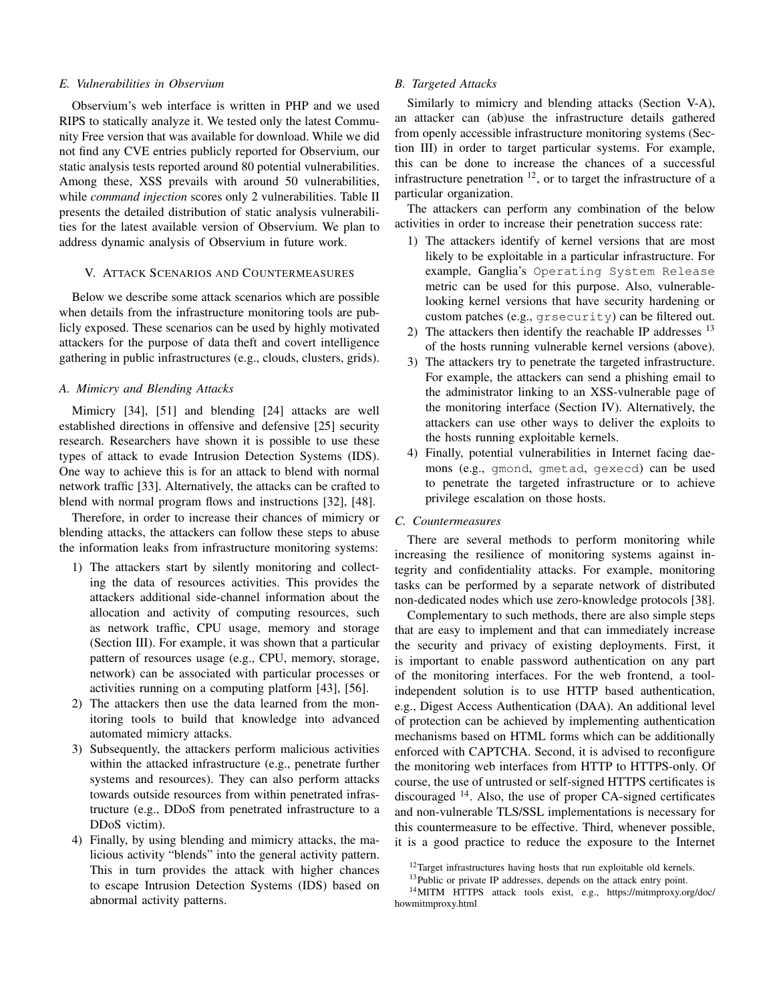## *E. Vulnerabilities in Observium*

Observium's web interface is written in PHP and we used RIPS to statically analyze it. We tested only the latest Community Free version that was available for download. While we did not find any CVE entries publicly reported for Observium, our static analysis tests reported around 80 potential vulnerabilities. Among these, XSS prevails with around 50 vulnerabilities, while *command injection* scores only 2 vulnerabilities. Table II presents the detailed distribution of static analysis vulnerabilities for the latest available version of Observium. We plan to address dynamic analysis of Observium in future work.

#### V. ATTACK SCENARIOS AND COUNTERMEASURES

Below we describe some attack scenarios which are possible when details from the infrastructure monitoring tools are publicly exposed. These scenarios can be used by highly motivated attackers for the purpose of data theft and covert intelligence gathering in public infrastructures (e.g., clouds, clusters, grids).

## *A. Mimicry and Blending Attacks*

Mimicry [34], [51] and blending [24] attacks are well established directions in offensive and defensive [25] security research. Researchers have shown it is possible to use these types of attack to evade Intrusion Detection Systems (IDS). One way to achieve this is for an attack to blend with normal network traffic [33]. Alternatively, the attacks can be crafted to blend with normal program flows and instructions [32], [48].

Therefore, in order to increase their chances of mimicry or blending attacks, the attackers can follow these steps to abuse the information leaks from infrastructure monitoring systems:

- 1) The attackers start by silently monitoring and collecting the data of resources activities. This provides the attackers additional side-channel information about the allocation and activity of computing resources, such as network traffic, CPU usage, memory and storage (Section III). For example, it was shown that a particular pattern of resources usage (e.g., CPU, memory, storage, network) can be associated with particular processes or activities running on a computing platform [43], [56].
- 2) The attackers then use the data learned from the monitoring tools to build that knowledge into advanced automated mimicry attacks.
- 3) Subsequently, the attackers perform malicious activities within the attacked infrastructure (e.g., penetrate further systems and resources). They can also perform attacks towards outside resources from within penetrated infrastructure (e.g., DDoS from penetrated infrastructure to a DDoS victim).
- 4) Finally, by using blending and mimicry attacks, the malicious activity "blends" into the general activity pattern. This in turn provides the attack with higher chances to escape Intrusion Detection Systems (IDS) based on abnormal activity patterns.

## *B. Targeted Attacks*

Similarly to mimicry and blending attacks (Section V-A), an attacker can (ab)use the infrastructure details gathered from openly accessible infrastructure monitoring systems (Section III) in order to target particular systems. For example, this can be done to increase the chances of a successful infrastructure penetration  $12$ , or to target the infrastructure of a particular organization.

The attackers can perform any combination of the below activities in order to increase their penetration success rate:

- 1) The attackers identify of kernel versions that are most likely to be exploitable in a particular infrastructure. For example, Ganglia's Operating System Release metric can be used for this purpose. Also, vulnerablelooking kernel versions that have security hardening or custom patches (e.g., grsecurity) can be filtered out.
- 2) The attackers then identify the reachable IP addresses  $^{13}$ of the hosts running vulnerable kernel versions (above).
- 3) The attackers try to penetrate the targeted infrastructure. For example, the attackers can send a phishing email to the administrator linking to an XSS-vulnerable page of the monitoring interface (Section IV). Alternatively, the attackers can use other ways to deliver the exploits to the hosts running exploitable kernels.
- 4) Finally, potential vulnerabilities in Internet facing daemons (e.g., gmond, gmetad, gexecd) can be used to penetrate the targeted infrastructure or to achieve privilege escalation on those hosts.

## *C. Countermeasures*

There are several methods to perform monitoring while increasing the resilience of monitoring systems against integrity and confidentiality attacks. For example, monitoring tasks can be performed by a separate network of distributed non-dedicated nodes which use zero-knowledge protocols [38].

Complementary to such methods, there are also simple steps that are easy to implement and that can immediately increase the security and privacy of existing deployments. First, it is important to enable password authentication on any part of the monitoring interfaces. For the web frontend, a toolindependent solution is to use HTTP based authentication, e.g., Digest Access Authentication (DAA). An additional level of protection can be achieved by implementing authentication mechanisms based on HTML forms which can be additionally enforced with CAPTCHA. Second, it is advised to reconfigure the monitoring web interfaces from HTTP to HTTPS-only. Of course, the use of untrusted or self-signed HTTPS certificates is discouraged  $^{14}$ . Also, the use of proper CA-signed certificates and non-vulnerable TLS/SSL implementations is necessary for this countermeasure to be effective. Third, whenever possible, it is a good practice to reduce the exposure to the Internet

<sup>&</sup>lt;sup>12</sup>Target infrastructures having hosts that run exploitable old kernels.

<sup>&</sup>lt;sup>13</sup>Public or private IP addresses, depends on the attack entry point.

<sup>14</sup>MITM HTTPS attack tools exist, e.g., https://mitmproxy.org/doc/ howmitmproxy.html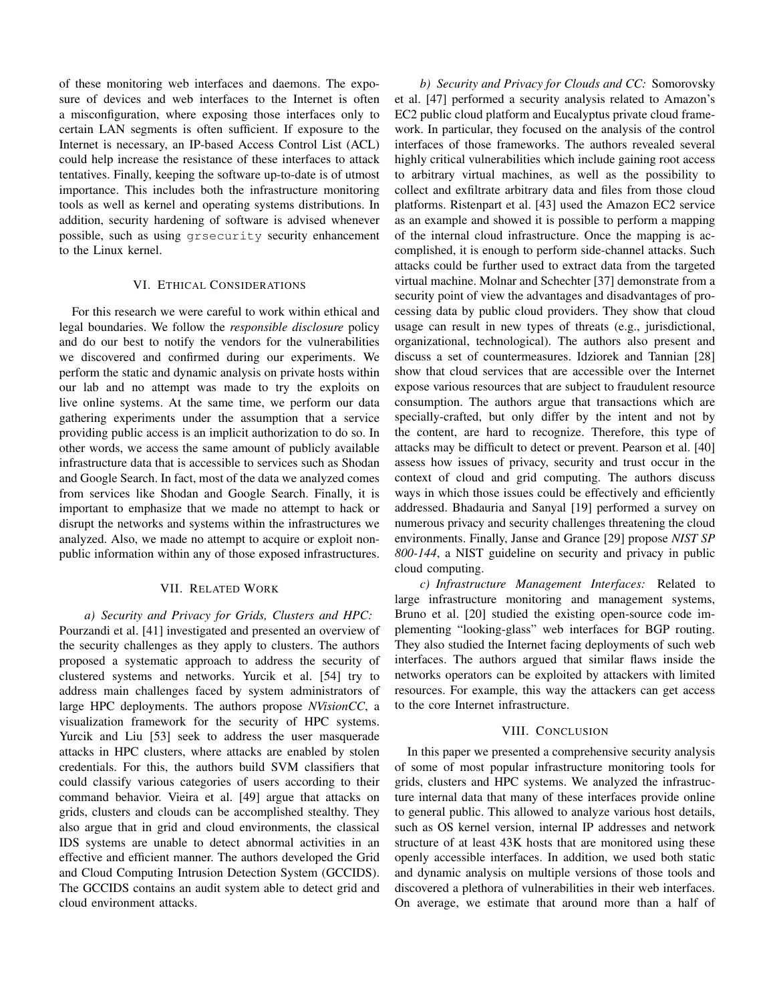of these monitoring web interfaces and daemons. The exposure of devices and web interfaces to the Internet is often a misconfiguration, where exposing those interfaces only to certain LAN segments is often sufficient. If exposure to the Internet is necessary, an IP-based Access Control List (ACL) could help increase the resistance of these interfaces to attack tentatives. Finally, keeping the software up-to-date is of utmost importance. This includes both the infrastructure monitoring tools as well as kernel and operating systems distributions. In addition, security hardening of software is advised whenever possible, such as using grsecurity security enhancement to the Linux kernel.

## VI. ETHICAL CONSIDERATIONS

For this research we were careful to work within ethical and legal boundaries. We follow the *responsible disclosure* policy and do our best to notify the vendors for the vulnerabilities we discovered and confirmed during our experiments. We perform the static and dynamic analysis on private hosts within our lab and no attempt was made to try the exploits on live online systems. At the same time, we perform our data gathering experiments under the assumption that a service providing public access is an implicit authorization to do so. In other words, we access the same amount of publicly available infrastructure data that is accessible to services such as Shodan and Google Search. In fact, most of the data we analyzed comes from services like Shodan and Google Search. Finally, it is important to emphasize that we made no attempt to hack or disrupt the networks and systems within the infrastructures we analyzed. Also, we made no attempt to acquire or exploit nonpublic information within any of those exposed infrastructures.

#### VII. RELATED WORK

*a) Security and Privacy for Grids, Clusters and HPC:* Pourzandi et al. [41] investigated and presented an overview of the security challenges as they apply to clusters. The authors proposed a systematic approach to address the security of clustered systems and networks. Yurcik et al. [54] try to address main challenges faced by system administrators of large HPC deployments. The authors propose *NVisionCC*, a visualization framework for the security of HPC systems. Yurcik and Liu [53] seek to address the user masquerade attacks in HPC clusters, where attacks are enabled by stolen credentials. For this, the authors build SVM classifiers that could classify various categories of users according to their command behavior. Vieira et al. [49] argue that attacks on grids, clusters and clouds can be accomplished stealthy. They also argue that in grid and cloud environments, the classical IDS systems are unable to detect abnormal activities in an effective and efficient manner. The authors developed the Grid and Cloud Computing Intrusion Detection System (GCCIDS). The GCCIDS contains an audit system able to detect grid and cloud environment attacks.

*b) Security and Privacy for Clouds and CC:* Somorovsky et al. [47] performed a security analysis related to Amazon's EC2 public cloud platform and Eucalyptus private cloud framework. In particular, they focused on the analysis of the control interfaces of those frameworks. The authors revealed several highly critical vulnerabilities which include gaining root access to arbitrary virtual machines, as well as the possibility to collect and exfiltrate arbitrary data and files from those cloud platforms. Ristenpart et al. [43] used the Amazon EC2 service as an example and showed it is possible to perform a mapping of the internal cloud infrastructure. Once the mapping is accomplished, it is enough to perform side-channel attacks. Such attacks could be further used to extract data from the targeted virtual machine. Molnar and Schechter [37] demonstrate from a security point of view the advantages and disadvantages of processing data by public cloud providers. They show that cloud usage can result in new types of threats (e.g., jurisdictional, organizational, technological). The authors also present and discuss a set of countermeasures. Idziorek and Tannian [28] show that cloud services that are accessible over the Internet expose various resources that are subject to fraudulent resource consumption. The authors argue that transactions which are specially-crafted, but only differ by the intent and not by the content, are hard to recognize. Therefore, this type of attacks may be difficult to detect or prevent. Pearson et al. [40] assess how issues of privacy, security and trust occur in the context of cloud and grid computing. The authors discuss ways in which those issues could be effectively and efficiently addressed. Bhadauria and Sanyal [19] performed a survey on numerous privacy and security challenges threatening the cloud environments. Finally, Janse and Grance [29] propose *NIST SP 800-144*, a NIST guideline on security and privacy in public cloud computing.

*c) Infrastructure Management Interfaces:* Related to large infrastructure monitoring and management systems, Bruno et al. [20] studied the existing open-source code implementing "looking-glass" web interfaces for BGP routing. They also studied the Internet facing deployments of such web interfaces. The authors argued that similar flaws inside the networks operators can be exploited by attackers with limited resources. For example, this way the attackers can get access to the core Internet infrastructure.

## VIII. CONCLUSION

In this paper we presented a comprehensive security analysis of some of most popular infrastructure monitoring tools for grids, clusters and HPC systems. We analyzed the infrastructure internal data that many of these interfaces provide online to general public. This allowed to analyze various host details, such as OS kernel version, internal IP addresses and network structure of at least 43K hosts that are monitored using these openly accessible interfaces. In addition, we used both static and dynamic analysis on multiple versions of those tools and discovered a plethora of vulnerabilities in their web interfaces. On average, we estimate that around more than a half of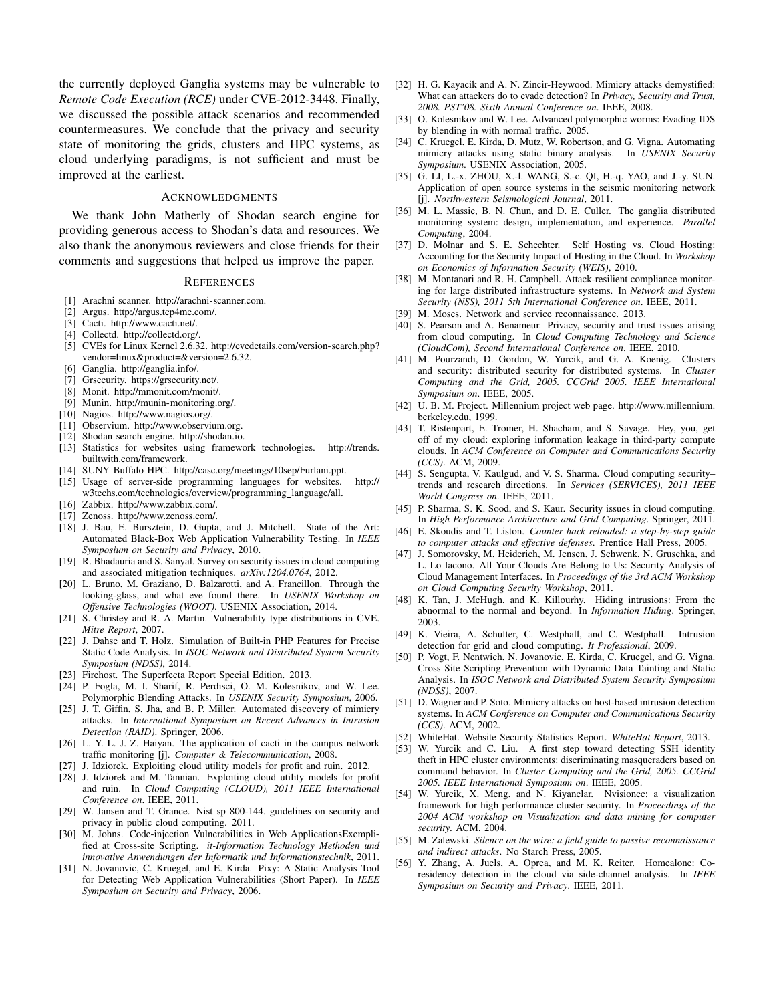the currently deployed Ganglia systems may be vulnerable to *Remote Code Execution (RCE)* under CVE-2012-3448. Finally, we discussed the possible attack scenarios and recommended countermeasures. We conclude that the privacy and security state of monitoring the grids, clusters and HPC systems, as cloud underlying paradigms, is not sufficient and must be improved at the earliest.

#### ACKNOWLEDGMENTS

We thank John Matherly of Shodan search engine for providing generous access to Shodan's data and resources. We also thank the anonymous reviewers and close friends for their comments and suggestions that helped us improve the paper.

#### **REFERENCES**

- [1] Arachni scanner. http://arachni-scanner.com.
- [2] Argus. http://argus.tcp4me.com/.
- [3] Cacti. http://www.cacti.net/.
- [4] Collectd. http://collectd.org/.
- [5] CVEs for Linux Kernel 2.6.32. http://cvedetails.com/version-search.php? vendor=linux&product=&version=2.6.32.
- [6] Ganglia. http://ganglia.info/.
- [7] Grsecurity. https://grsecurity.net/.
- [8] Monit. http://mmonit.com/monit/.
- [9] Munin. http://munin-monitoring.org/.
- [10] Nagios. http://www.nagios.org/.
- [11] Observium. http://www.observium.org.
- [12] Shodan search engine. http://shodan.io.
- [13] Statistics for websites using framework technologies. http://trends. builtwith.com/framework.
- [14] SUNY Buffalo HPC. http://casc.org/meetings/10sep/Furlani.ppt.
- [15] Usage of server-side programming languages for websites. http:// w3techs.com/technologies/overview/programming language/all.
- [16] Zabbix. http://www.zabbix.com/.
- [17] Zenoss. http://www.zenoss.com/.
- [18] J. Bau, E. Bursztein, D. Gupta, and J. Mitchell. State of the Art: Automated Black-Box Web Application Vulnerability Testing. In *IEEE Symposium on Security and Privacy*, 2010.
- [19] R. Bhadauria and S. Sanyal. Survey on security issues in cloud computing and associated mitigation techniques. *arXiv:1204.0764*, 2012.
- [20] L. Bruno, M. Graziano, D. Balzarotti, and A. Francillon. Through the looking-glass, and what eve found there. In *USENIX Workshop on Offensive Technologies (WOOT)*. USENIX Association, 2014.
- [21] S. Christey and R. A. Martin. Vulnerability type distributions in CVE. *Mitre Report*, 2007.
- [22] J. Dahse and T. Holz. Simulation of Built-in PHP Features for Precise Static Code Analysis. In *ISOC Network and Distributed System Security Symposium (NDSS)*, 2014.
- [23] Firehost. The Superfecta Report Special Edition. 2013.
- [24] P. Fogla, M. I. Sharif, R. Perdisci, O. M. Kolesnikov, and W. Lee. Polymorphic Blending Attacks. In *USENIX Security Symposium*, 2006.
- [25] J. T. Giffin, S. Jha, and B. P. Miller. Automated discovery of mimicry attacks. In *International Symposium on Recent Advances in Intrusion Detection (RAID)*. Springer, 2006.
- [26] L. Y. L. J. Z. Haiyan. The application of cacti in the campus network traffic monitoring [j]. *Computer & Telecommunication*, 2008.
- [27] J. Idziorek. Exploiting cloud utility models for profit and ruin. 2012.
- [28] J. Idziorek and M. Tannian. Exploiting cloud utility models for profit and ruin. In *Cloud Computing (CLOUD), 2011 IEEE International Conference on*. IEEE, 2011.
- [29] W. Jansen and T. Grance. Nist sp 800-144. guidelines on security and privacy in public cloud computing. 2011.
- [30] M. Johns. Code-injection Vulnerabilities in Web ApplicationsExemplified at Cross-site Scripting. *it-Information Technology Methoden und innovative Anwendungen der Informatik und Informationstechnik*, 2011.
- [31] N. Jovanovic, C. Kruegel, and E. Kirda. Pixy: A Static Analysis Tool for Detecting Web Application Vulnerabilities (Short Paper). In *IEEE Symposium on Security and Privacy*, 2006.
- [32] H. G. Kayacik and A. N. Zincir-Heywood. Mimicry attacks demystified: What can attackers do to evade detection? In *Privacy, Security and Trust, 2008. PST'08. Sixth Annual Conference on*. IEEE, 2008.
- [33] O. Kolesnikov and W. Lee. Advanced polymorphic worms: Evading IDS by blending in with normal traffic. 2005.
- [34] C. Kruegel, E. Kirda, D. Mutz, W. Robertson, and G. Vigna. Automating mimicry attacks using static binary analysis. In *USENIX Security Symposium*. USENIX Association, 2005.
- [35] G. LI, L.-x. ZHOU, X.-l. WANG, S.-c. QI, H.-q. YAO, and J.-y. SUN. Application of open source systems in the seismic monitoring network [j]. *Northwestern Seismological Journal*, 2011.
- [36] M. L. Massie, B. N. Chun, and D. E. Culler. The ganglia distributed monitoring system: design, implementation, and experience. *Parallel Computing*, 2004.
- [37] D. Molnar and S. E. Schechter. Self Hosting vs. Cloud Hosting: Accounting for the Security Impact of Hosting in the Cloud. In *Workshop on Economics of Information Security (WEIS)*, 2010.
- [38] M. Montanari and R. H. Campbell. Attack-resilient compliance monitoring for large distributed infrastructure systems. In *Network and System Security (NSS), 2011 5th International Conference on*. IEEE, 2011.
- [39] M. Moses. Network and service reconnaissance. 2013.
- [40] S. Pearson and A. Benameur. Privacy, security and trust issues arising from cloud computing. In *Cloud Computing Technology and Science (CloudCom), Second International Conference on*. IEEE, 2010.
- [41] M. Pourzandi, D. Gordon, W. Yurcik, and G. A. Koenig. Clusters and security: distributed security for distributed systems. In *Cluster Computing and the Grid, 2005. CCGrid 2005. IEEE International Symposium on*. IEEE, 2005.
- [42] U. B. M. Project. Millennium project web page. http://www.millennium. berkeley.edu, 1999.
- [43] T. Ristenpart, E. Tromer, H. Shacham, and S. Savage. Hey, you, get off of my cloud: exploring information leakage in third-party compute clouds. In *ACM Conference on Computer and Communications Security (CCS)*. ACM, 2009.
- [44] S. Sengupta, V. Kaulgud, and V. S. Sharma. Cloud computing security– trends and research directions. In *Services (SERVICES), 2011 IEEE World Congress on*. IEEE, 2011.
- [45] P. Sharma, S. K. Sood, and S. Kaur. Security issues in cloud computing. In *High Performance Architecture and Grid Computing*. Springer, 2011.
- [46] E. Skoudis and T. Liston. *Counter hack reloaded: a step-by-step guide to computer attacks and effective defenses*. Prentice Hall Press, 2005.
- [47] J. Somorovsky, M. Heiderich, M. Jensen, J. Schwenk, N. Gruschka, and L. Lo Iacono. All Your Clouds Are Belong to Us: Security Analysis of Cloud Management Interfaces. In *Proceedings of the 3rd ACM Workshop on Cloud Computing Security Workshop*, 2011.
- [48] K. Tan, J. McHugh, and K. Killourhy. Hiding intrusions: From the abnormal to the normal and beyond. In *Information Hiding*. Springer, 2003.
- [49] K. Vieira, A. Schulter, C. Westphall, and C. Westphall. Intrusion detection for grid and cloud computing. *It Professional*, 2009.
- [50] P. Vogt, F. Nentwich, N. Jovanovic, E. Kirda, C. Kruegel, and G. Vigna. Cross Site Scripting Prevention with Dynamic Data Tainting and Static Analysis. In *ISOC Network and Distributed System Security Symposium (NDSS)*, 2007.
- [51] D. Wagner and P. Soto. Mimicry attacks on host-based intrusion detection systems. In *ACM Conference on Computer and Communications Security (CCS)*. ACM, 2002.
- [52] WhiteHat. Website Security Statistics Report. *WhiteHat Report*, 2013.
- [53] W. Yurcik and C. Liu. A first step toward detecting SSH identity theft in HPC cluster environments: discriminating masqueraders based on command behavior. In *Cluster Computing and the Grid, 2005. CCGrid 2005. IEEE International Symposium on*. IEEE, 2005.
- [54] W. Yurcik, X. Meng, and N. Kiyanclar. Nvisioncc: a visualization framework for high performance cluster security. In *Proceedings of the 2004 ACM workshop on Visualization and data mining for computer security*. ACM, 2004.
- [55] M. Zalewski. *Silence on the wire: a field guide to passive reconnaissance and indirect attacks*. No Starch Press, 2005.
- [56] Y. Zhang, A. Juels, A. Oprea, and M. K. Reiter. Homealone: Coresidency detection in the cloud via side-channel analysis. In *IEEE Symposium on Security and Privacy*. IEEE, 2011.